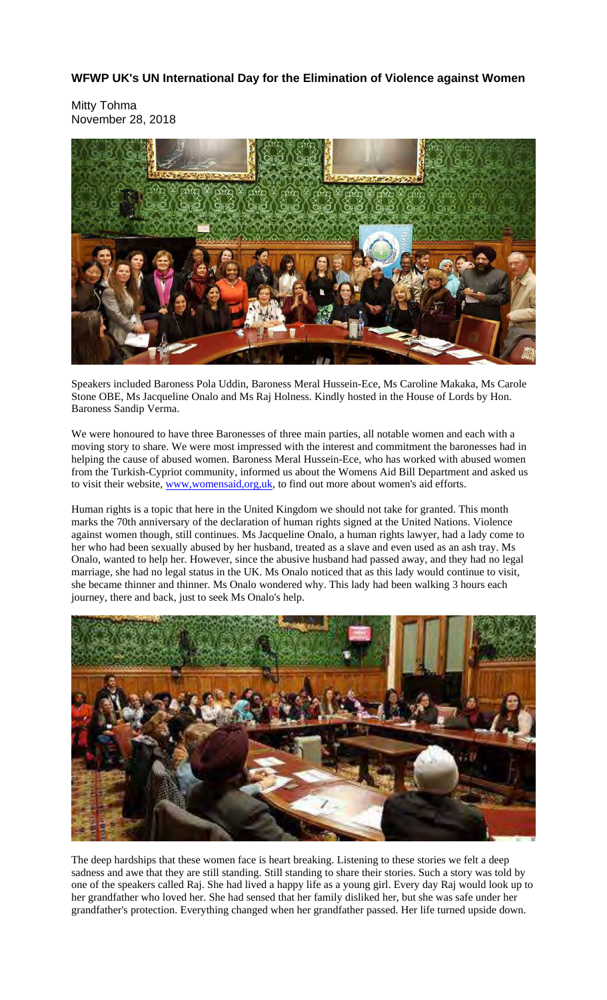**WFWP UK's UN International Day for the Elimination of Violence against Women** 

Mitty Tohma November 28, 2018



Speakers included Baroness Pola Uddin, Baroness Meral Hussein-Ece, Ms Caroline Makaka, Ms Carole Stone OBE, Ms Jacqueline Onalo and Ms Raj Holness. Kindly hosted in the House of Lords by Hon. Baroness Sandip Verma.

We were honoured to have three Baronesses of three main parties, all notable women and each with a moving story to share. We were most impressed with the interest and commitment the baronesses had in helping the cause of abused women. Baroness Meral Hussein-Ece, who has worked with abused women from the Turkish-Cypriot community, informed us about the Womens Aid Bill Department and asked us to visit their website, www.womensaid.org.uk, to find out more about women's aid efforts.

Human rights is a topic that here in the United Kingdom we should not take for granted. This month marks the 70th anniversary of the declaration of human rights signed at the United Nations. Violence against women though, still continues. Ms Jacqueline Onalo, a human rights lawyer, had a lady come to her who had been sexually abused by her husband, treated as a slave and even used as an ash tray. Ms Onalo, wanted to help her. However, since the abusive husband had passed away, and they had no legal marriage, she had no legal status in the UK. Ms Onalo noticed that as this lady would continue to visit, she became thinner and thinner. Ms Onalo wondered why. This lady had been walking 3 hours each journey, there and back, just to seek Ms Onalo's help.



The deep hardships that these women face is heart breaking. Listening to these stories we felt a deep sadness and awe that they are still standing. Still standing to share their stories. Such a story was told by one of the speakers called Raj. She had lived a happy life as a young girl. Every day Raj would look up to her grandfather who loved her. She had sensed that her family disliked her, but she was safe under her grandfather's protection. Everything changed when her grandfather passed. Her life turned upside down.